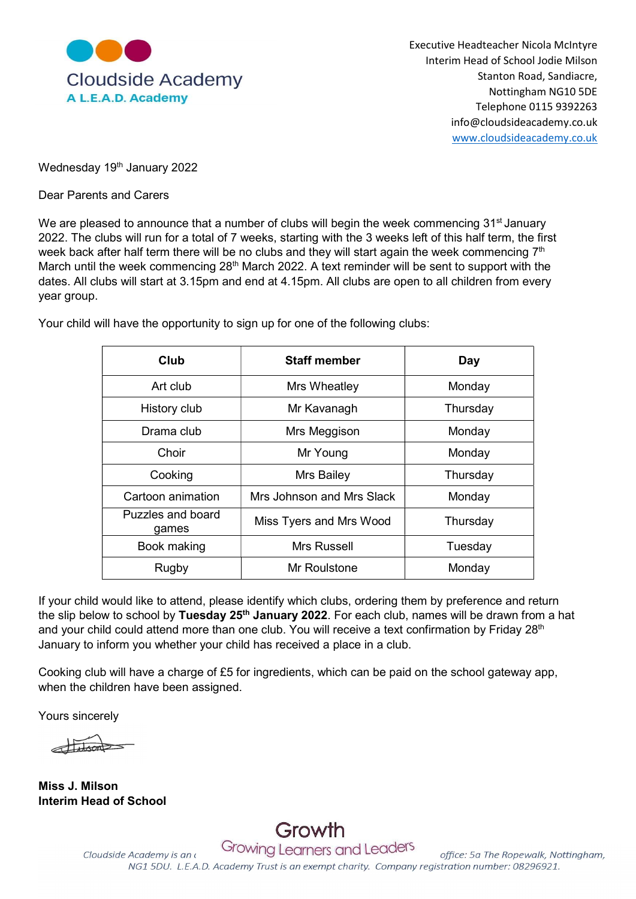

Executive Headteacher Nicola McIntyre Interim Head of School Jodie Milson Nottingham NG10 5DE Telephone 0115 9392263 info@cloudsideacademy.co.uk www.cloudsideacademy.co.uk

Wednesday 19th January 2022

Dear Parents and Carers

We are pleased to announce that a number of clubs will begin the week commencing 31<sup>st</sup> January 2022. The clubs will run for a total of 7 weeks, starting with the 3 weeks left of this half term, the first week back after half term there will be no clubs and they will start again the week commencing  $7<sup>th</sup>$ March until the week commencing 28<sup>th</sup> March 2022. A text reminder will be sent to support with the dates. All clubs will start at 3.15pm and end at 4.15pm. All clubs are open to all children from every year group.

| Club                       | <b>Staff member</b>       | Day      |
|----------------------------|---------------------------|----------|
| Art club                   | Mrs Wheatley              | Monday   |
| History club               | Mr Kavanagh               | Thursday |
| Drama club                 | Mrs Meggison              | Monday   |
| Choir                      | Mr Young                  | Monday   |
| Cooking                    | Mrs Bailey                | Thursday |
| Cartoon animation          | Mrs Johnson and Mrs Slack | Monday   |
| Puzzles and board<br>games | Miss Tyers and Mrs Wood   | Thursday |
| Book making                | Mrs Russell               | Tuesday  |
| Rugby                      | Mr Roulstone              | Monday   |

Your child will have the opportunity to sign up for one of the following clubs:

If your child would like to attend, please identify which clubs, ordering them by preference and return the slip below to school by Tuesday 25<sup>th</sup> January 2022. For each club, names will be drawn from a hat and your child could attend more than one club. You will receive a text confirmation by Friday 28<sup>th</sup> January to inform you whether your child has received a place in a club.

Cooking club will have a charge of £5 for ingredients, which can be paid on the school gateway app, when the children have been assigned.

Yours sincerely

Miss J. Milson Interim Head of School

Growing Learners and Leaders Cloudside Academy is an a office: 5a The Ropewalk, Nottingham, NG1 5DU. L.E.A.D. Academy Trust is an exempt charity. Company registration number: 08296921.

Growth